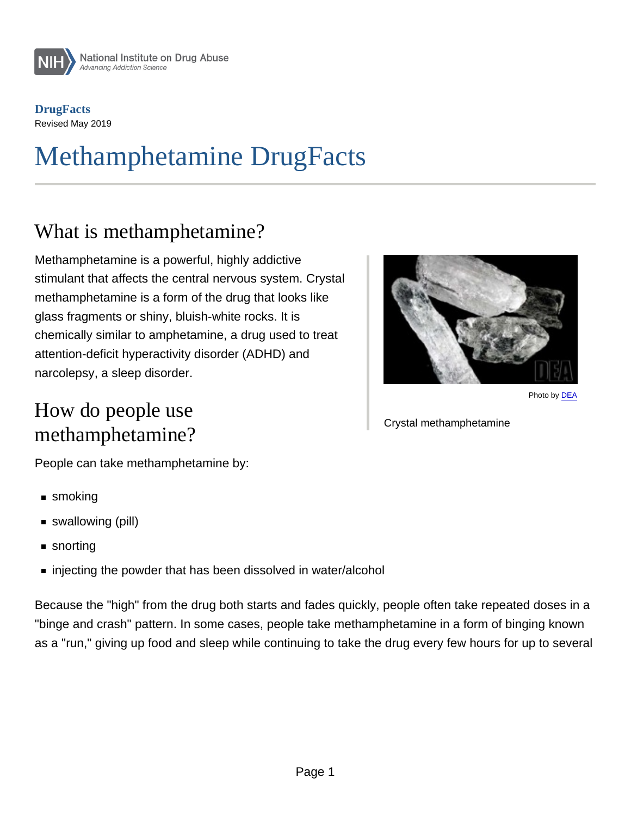**DrugFacts** Revised May 2019

# Methamphetamine DrugFacts

### What is methamphetamine?

Methamphetamine is a powerful, highly addictive stimulant that affects the central nervous system. Crystal methamphetamine is a form of the drug that looks like glass fragments or shiny, bluish-white rocks. It is chemically similar to amphetamine, a drug used to treat attention-deficit hyperactivity disorder (ADHD) and narcolepsy, a sleep disorder.

### How do people use methamphetamine?

Photo by [DEA](https://www.dea.gov/galleries/drug-images/methamphetamine)

#### Crystal methamphetamine

People can take methamphetamine by:

- smoking
- swallowing (pill)
- snorting
- injecting the powder that has been dissolved in water/alcohol

Because the "high" from the drug both starts and fades quickly, people often take repeated doses in a "binge and crash" pattern. In some cases, people take methamphetamine in a form of binging known as a "run," giving up food and sleep while continuing to take the drug every few hours for up to several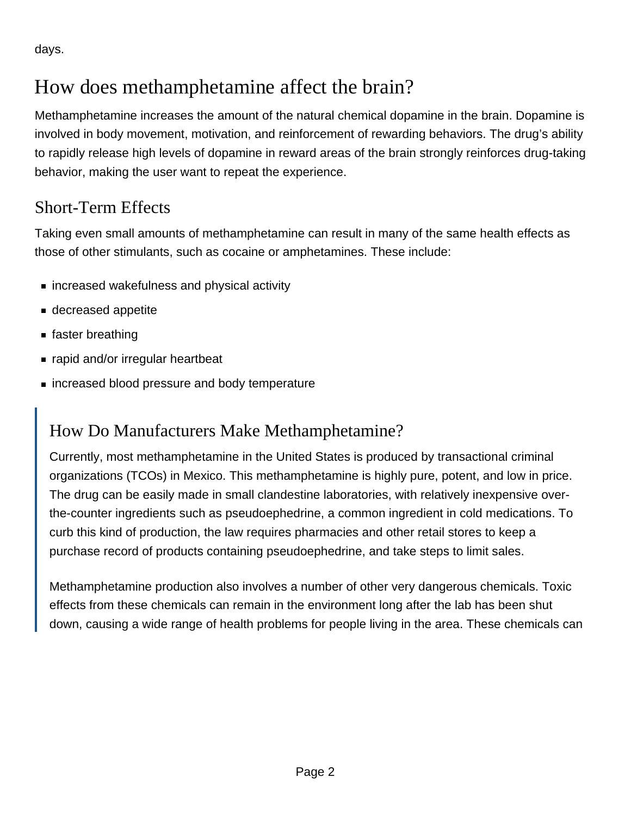days.

# How does methamphetamine affect the brain?

Methamphetamine increases the amount of the natural chemical dopamine in the brain. Dopamine is involved in body movement, motivation, and reinforcement of rewarding behaviors. The drug's ability to rapidly release high levels of dopamine in reward areas of the brain strongly reinforces drug-taking behavior, making the user want to repeat the experience.

#### Short-Term Effects

Taking even small amounts of methamphetamine can result in many of the same health effects as those of other stimulants, such as cocaine or amphetamines. These include:

- increased wakefulness and physical activity
- decreased appetite
- faster breathing
- rapid and/or irregular heartbeat
- increased blood pressure and body temperature

#### How Do Manufacturers Make Methamphetamine?

Currently, most methamphetamine in the United States is produced by transactional criminal organizations (TCOs) in Mexico. This methamphetamine is highly pure, potent, and low in price. The drug can be easily made in small clandestine laboratories, with relatively inexpensive overthe-counter ingredients such as pseudoephedrine, a common ingredient in cold medications. To curb this kind of production, the law requires pharmacies and other retail stores to keep a purchase record of products containing pseudoephedrine, and take steps to limit sales.

Methamphetamine production also involves a number of other very dangerous chemicals. Toxic effects from these chemicals can remain in the environment long after the lab has been shut down, causing a wide range of health problems for people living in the area. These chemicals can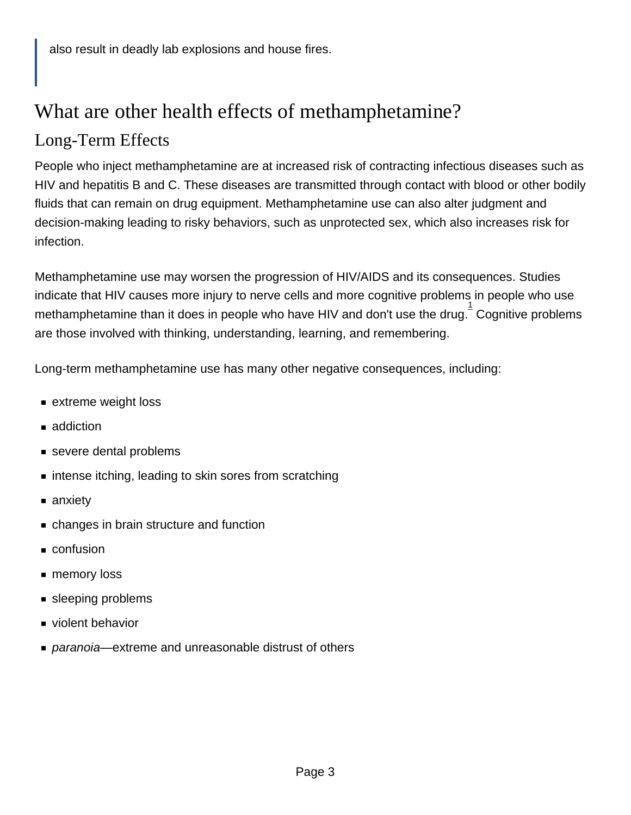# What are other health effects of methamphetamine? Long-Term Effects

People who inject methamphetamine are at increased risk of contracting infectious diseases such as HIV and hepatitis B and C. These diseases are transmitted through contact with blood or other bodily fluids that can remain on drug equipment. Methamphetamine use can also alter judgment and decision-making leading to risky behaviors, such as unprotected sex, which also increases risk for infection.

Methamphetamine use may worsen the progression of HIV/AIDS and its consequences. Studies indicate that HIV causes more injury to nerve cells and more cognitive problems in people who use methamphetamine than it does in people who have HIV and don't use the drug. Cognitive problems are those involved with thinking, understanding, learning, and remembering.

Long-term methamphetamine use has many other negative consequences, including:

- **Extreme weight loss**
- addiction
- severe dental problems
- **Exercise intense itching, leading to skin sores from scratching**
- anxiety
- changes in brain structure and function
- confusion
- memory loss
- **sleeping problems**
- violent behavior
- paranoia—extreme and unreasonable distrust of others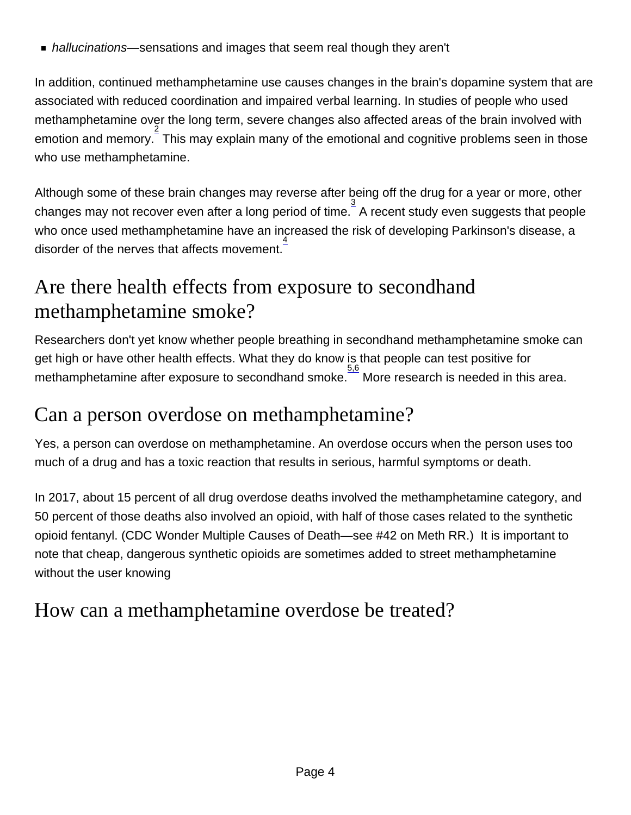hallucinations—sensations and images that seem real though they aren't

In addition, continued methamphetamine use causes changes in the brain's dopamine system that are associated with reduced coordination and impaired verbal learning. In studies of people who used methamphetamine over the long term, severe changes also affected areas of the brain involved with emotion and memory. 2 This may explain many of the emotional and cognitive problems seen in those who use methamphetamine.

Although some of these brain changes may reverse after being off the drug for a year or more, other changes may not recover even after a long period of time.  $\frac{3}{2}$  A recent study even suggests that people who once used methamphetamine have an increased the risk of developing Parkinson's disease, a disorder of the nerves that affects movement.<sup>4</sup>

# Are there health effects from exposure to secondhand methamphetamine smoke?

Researchers don't yet know whether people breathing in secondhand methamphetamine smoke can get high or have other health effects. What they do know is that people can test positive for  $\frac{5.6}{5}$  methamphetamine after exposure to secondhand smoke. More research is needed in this area.

### Can a person overdose on methamphetamine?

Yes, a person can overdose on methamphetamine. An overdose occurs when the person uses too much of a drug and has a toxic reaction that results in serious, harmful symptoms or death.

In 2017, about 15 percent of all drug overdose deaths involved the methamphetamine category, and 50 percent of those deaths also involved an opioid, with half of those cases related to the synthetic opioid fentanyl. (CDC Wonder Multiple Causes of Death—see #42 on Meth RR.) It is important to note that cheap, dangerous synthetic opioids are sometimes added to street methamphetamine without the user knowing

### How can a methamphetamine overdose be treated?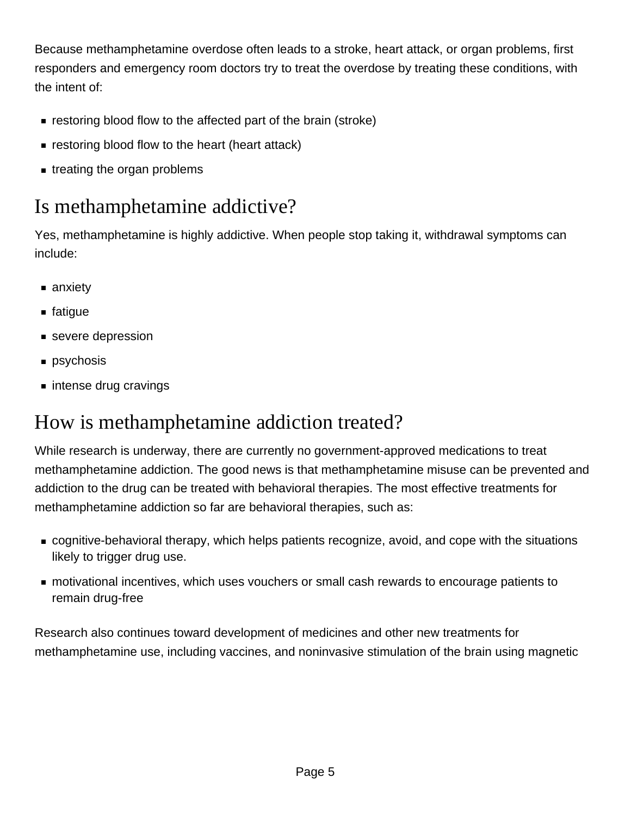Because methamphetamine overdose often leads to a stroke, heart attack, or organ problems, first responders and emergency room doctors try to treat the overdose by treating these conditions, with the intent of:

- **F** restoring blood flow to the affected part of the brain (stroke)
- **Exercise 1** restoring blood flow to the heart (heart attack)
- treating the organ problems

# Is methamphetamine addictive?

Yes, methamphetamine is highly addictive. When people stop taking it, withdrawal symptoms can include:

- anxiety
- fatique
- severe depression
- **psychosis**
- intense drug cravings

### How is methamphetamine addiction treated?

While research is underway, there are currently no government-approved medications to treat methamphetamine addiction. The good news is that methamphetamine misuse can be prevented and addiction to the drug can be treated with behavioral therapies. The most effective treatments for methamphetamine addiction so far are behavioral therapies, such as:

- cognitive-behavioral therapy, which helps patients recognize, avoid, and cope with the situations likely to trigger drug use.
- motivational incentives, which uses vouchers or small cash rewards to encourage patients to remain drug-free

Research also continues toward development of medicines and other new treatments for methamphetamine use, including vaccines, and noninvasive stimulation of the brain using magnetic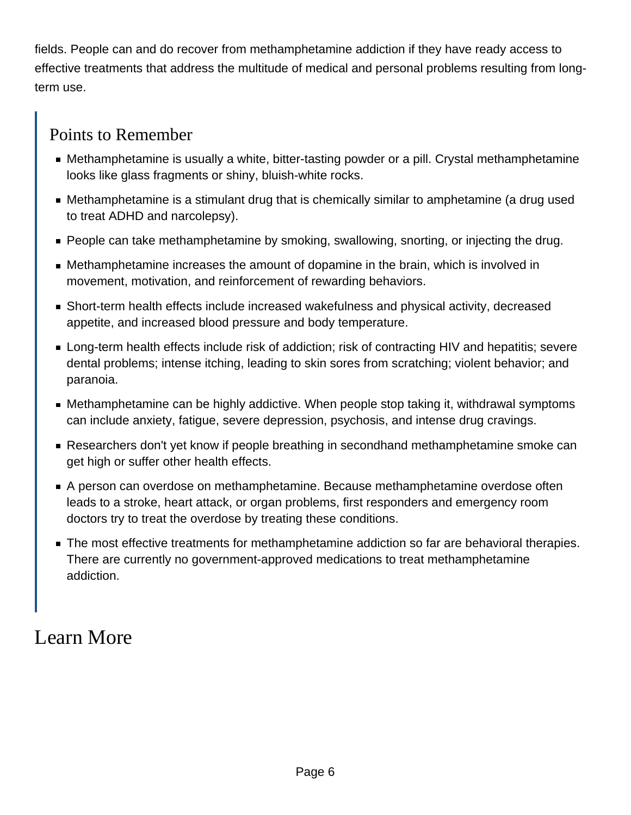fields. People can and do recover from methamphetamine addiction if they have ready access to effective treatments that address the multitude of medical and personal problems resulting from longterm use.

#### Points to Remember

- Methamphetamine is usually a white, bitter-tasting powder or a pill. Crystal methamphetamine looks like glass fragments or shiny, bluish-white rocks.
- Methamphetamine is a stimulant drug that is chemically similar to amphetamine (a drug used to treat ADHD and narcolepsy).
- **People can take methamphetamine by smoking, swallowing, snorting, or injecting the drug.**
- Methamphetamine increases the amount of dopamine in the brain, which is involved in movement, motivation, and reinforcement of rewarding behaviors.
- Short-term health effects include increased wakefulness and physical activity, decreased appetite, and increased blood pressure and body temperature.
- Long-term health effects include risk of addiction; risk of contracting HIV and hepatitis; severe dental problems; intense itching, leading to skin sores from scratching; violent behavior; and paranoia.
- Methamphetamine can be highly addictive. When people stop taking it, withdrawal symptoms can include anxiety, fatigue, severe depression, psychosis, and intense drug cravings.
- Researchers don't yet know if people breathing in secondhand methamphetamine smoke can get high or suffer other health effects.
- A person can overdose on methamphetamine. Because methamphetamine overdose often leads to a stroke, heart attack, or organ problems, first responders and emergency room doctors try to treat the overdose by treating these conditions.
- The most effective treatments for methamphetamine addiction so far are behavioral therapies. There are currently no government-approved medications to treat methamphetamine addiction.

#### Learn More